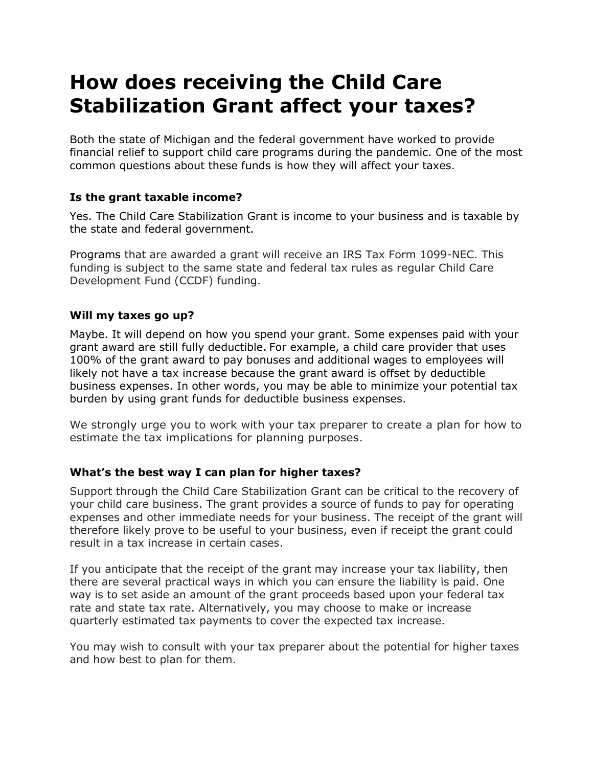# **How does receiving the Child Care Stabilization Grant affect your taxes?**

Both the state of Michigan and the federal government have worked to provide financial relief to support child care programs during the pandemic. One of the most common questions about these funds is how they will affect your taxes.

# **Is the grant taxable income?**

Yes. The Child Care Stabilization Grant is income to your business and is taxable by the state and federal government.

Programs that are awarded a grant will receive an IRS Tax Form 1099-NEC. This funding is subject to the same state and federal tax rules as regular Child Care Development Fund (CCDF) funding.

### **Will my taxes go up?**

Maybe. It will depend on how you spend your grant. Some expenses paid with your grant award are still fully deductible. For example, a child care provider that uses 100% of the grant award to pay bonuses and additional wages to employees will likely not have a tax increase because the grant award is offset by deductible business expenses. In other words, you may be able to minimize your potential tax burden by using grant funds for deductible business expenses.

We strongly urge you to work with your tax preparer to create a plan for how to estimate the tax implications for planning purposes.

### **What's the best way I can plan for higher taxes?**

Support through the Child Care Stabilization Grant can be critical to the recovery of your child care business. The grant provides a source of funds to pay for operating expenses and other immediate needs for your business. The receipt of the grant will therefore likely prove to be useful to your business, even if receipt the grant could result in a tax increase in certain cases.

If you anticipate that the receipt of the grant may increase your tax liability, then there are several practical ways in which you can ensure the liability is paid. One way is to set aside an amount of the grant proceeds based upon your federal tax rate and state tax rate. Alternatively, you may choose to make or increase quarterly estimated tax payments to cover the expected tax increase.

You may wish to consult with your tax preparer about the potential for higher taxes and how best to plan for them.